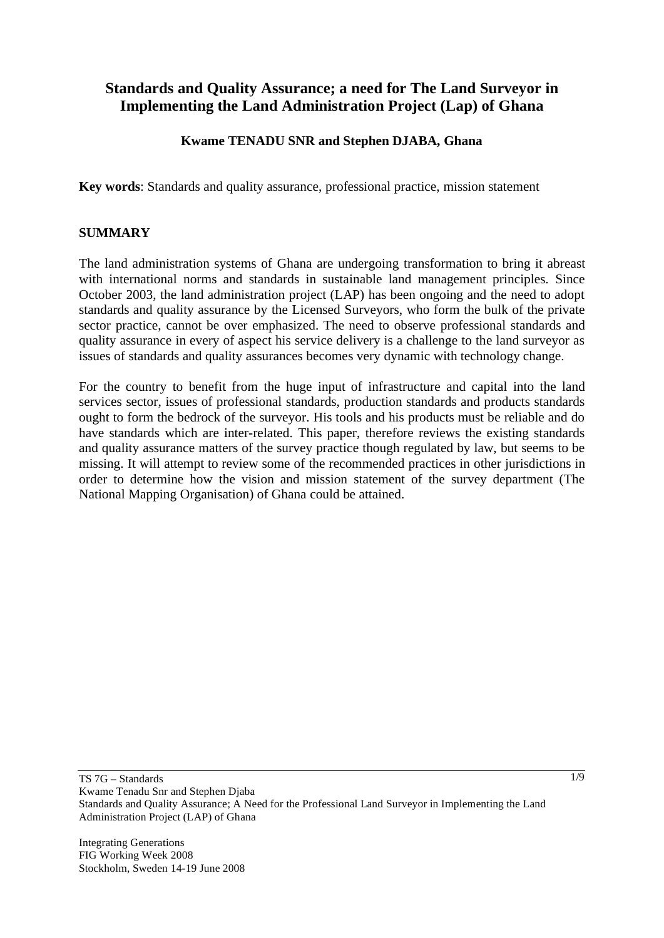# **Standards and Quality Assurance; a need for The Land Surveyor in Implementing the Land Administration Project (Lap) of Ghana**

# **Kwame TENADU SNR and Stephen DJABA, Ghana**

**Key words**: Standards and quality assurance, professional practice, mission statement

#### **SUMMARY**

The land administration systems of Ghana are undergoing transformation to bring it abreast with international norms and standards in sustainable land management principles. Since October 2003, the land administration project (LAP) has been ongoing and the need to adopt standards and quality assurance by the Licensed Surveyors, who form the bulk of the private sector practice, cannot be over emphasized. The need to observe professional standards and quality assurance in every of aspect his service delivery is a challenge to the land surveyor as issues of standards and quality assurances becomes very dynamic with technology change.

For the country to benefit from the huge input of infrastructure and capital into the land services sector, issues of professional standards, production standards and products standards ought to form the bedrock of the surveyor. His tools and his products must be reliable and do have standards which are inter-related. This paper, therefore reviews the existing standards and quality assurance matters of the survey practice though regulated by law, but seems to be missing. It will attempt to review some of the recommended practices in other jurisdictions in order to determine how the vision and mission statement of the survey department (The National Mapping Organisation) of Ghana could be attained.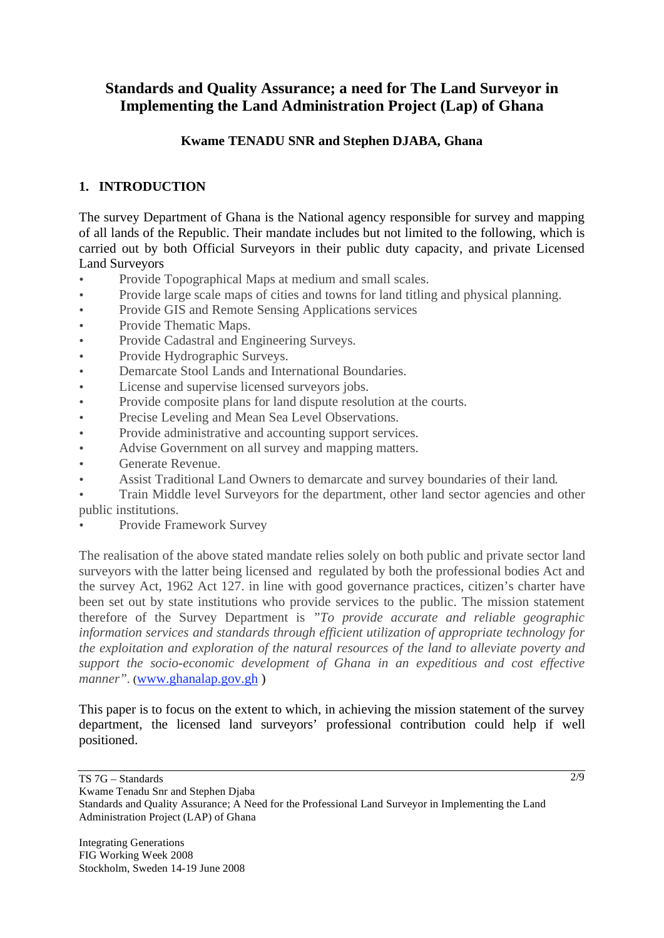# **Standards and Quality Assurance; a need for The Land Surveyor in Implementing the Land Administration Project (Lap) of Ghana**

# **Kwame TENADU SNR and Stephen DJABA, Ghana**

# **1. INTRODUCTION**

The survey Department of Ghana is the National agency responsible for survey and mapping of all lands of the Republic. Their mandate includes but not limited to the following, which is carried out by both Official Surveyors in their public duty capacity, and private Licensed Land Surveyors

- Provide Topographical Maps at medium and small scales.
- Provide large scale maps of cities and towns for land titling and physical planning.
- Provide GIS and Remote Sensing Applications services
- Provide Thematic Maps.
- Provide Cadastral and Engineering Surveys.
- Provide Hydrographic Surveys.
- Demarcate Stool Lands and International Boundaries.
- License and supervise licensed surveyors jobs.
- Provide composite plans for land dispute resolution at the courts.
- Precise Leveling and Mean Sea Level Observations.
- Provide administrative and accounting support services.
- Advise Government on all survey and mapping matters.
- Generate Revenue.
- Assist Traditional Land Owners to demarcate and survey boundaries of their land.
- Train Middle level Surveyors for the department, other land sector agencies and other public institutions.
- Provide Framework Survey

The realisation of the above stated mandate relies solely on both public and private sector land surveyors with the latter being licensed and regulated by both the professional bodies Act and the survey Act, 1962 Act 127. in line with good governance practices, citizen's charter have been set out by state institutions who provide services to the public. The mission statement therefore of the Survey Department is *"To provide accurate and reliable geographic information services and standards through efficient utilization of appropriate technology for the exploitation and exploration of the natural resources of the land to alleviate poverty and support the socio-economic development of Ghana in an expeditious and cost effective*  manner". (www.ghanalap.gov.gh)

This paper is to focus on the extent to which, in achieving the mission statement of the survey department, the licensed land surveyors' professional contribution could help if well positioned.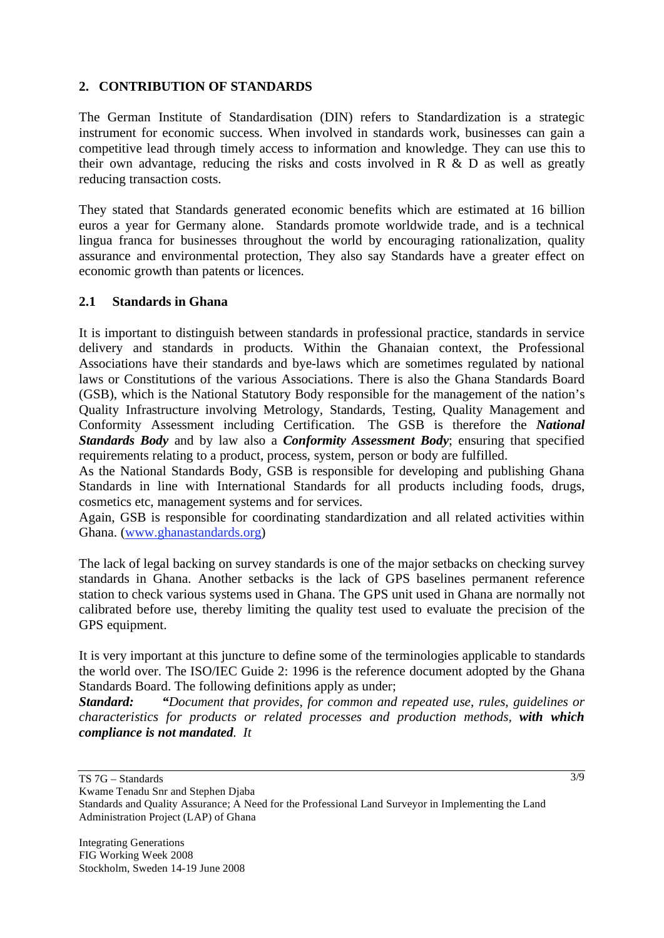### **2. CONTRIBUTION OF STANDARDS**

The German Institute of Standardisation (DIN) refers to Standardization is a strategic instrument for economic success. When involved in standards work, businesses can gain a competitive lead through timely access to information and knowledge. They can use this to their own advantage, reducing the risks and costs involved in R & D as well as greatly reducing transaction costs.

They stated that Standards generated economic benefits which are estimated at 16 billion euros a year for Germany alone. Standards promote worldwide trade, and is a technical lingua franca for businesses throughout the world by encouraging rationalization, quality assurance and environmental protection, They also say Standards have a greater effect on economic growth than patents or licences.

### **2.1 Standards in Ghana**

It is important to distinguish between standards in professional practice, standards in service delivery and standards in products. Within the Ghanaian context, the Professional Associations have their standards and bye-laws which are sometimes regulated by national laws or Constitutions of the various Associations. There is also the Ghana Standards Board (GSB), which is the National Statutory Body responsible for the management of the nation's Quality Infrastructure involving Metrology, Standards, Testing, Quality Management and Conformity Assessment including Certification. The GSB is therefore the *National Standards Body* and by law also a *Conformity Assessment Body*; ensuring that specified requirements relating to a product, process, system, person or body are fulfilled.

As the National Standards Body, GSB is responsible for developing and publishing Ghana Standards in line with International Standards for all products including foods, drugs, cosmetics etc, management systems and for services.

Again, GSB is responsible for coordinating standardization and all related activities within Ghana. (www.ghanastandards.org)

The lack of legal backing on survey standards is one of the major setbacks on checking survey standards in Ghana. Another setbacks is the lack of GPS baselines permanent reference station to check various systems used in Ghana. The GPS unit used in Ghana are normally not calibrated before use, thereby limiting the quality test used to evaluate the precision of the GPS equipment.

It is very important at this juncture to define some of the terminologies applicable to standards the world over. The ISO/IEC Guide 2: 1996 is the reference document adopted by the Ghana Standards Board. The following definitions apply as under;

*Standard: "Document that provides, for common and repeated use, rules, guidelines or characteristics for products or related processes and production methods, with which compliance is not mandated. It*

 $\overline{3/9}$ 

TS 7G – Standards

Kwame Tenadu Snr and Stephen Djaba Standards and Quality Assurance; A Need for the Professional Land Surveyor in Implementing the Land Administration Project (LAP) of Ghana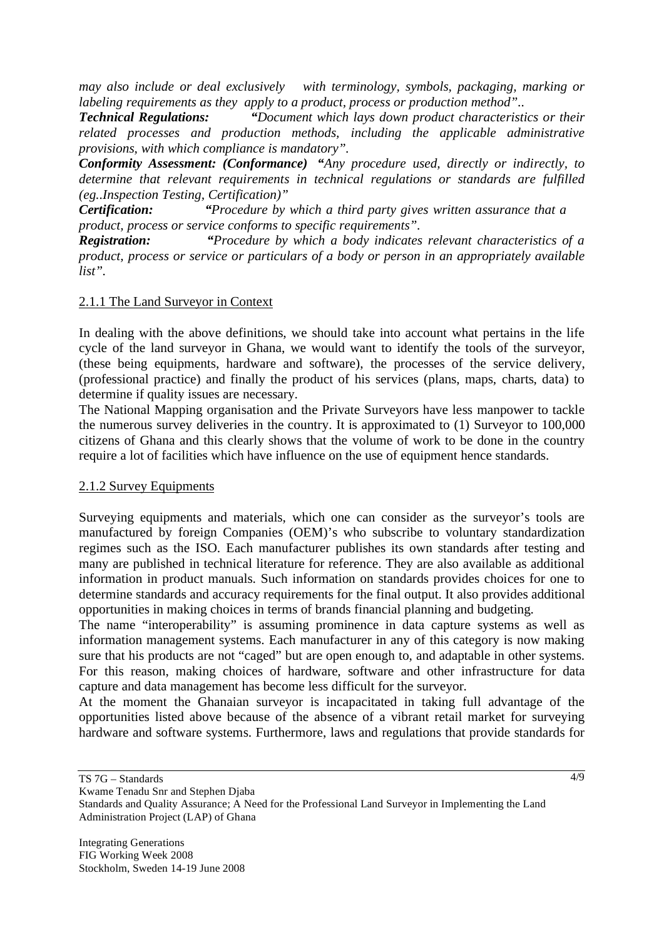*may also include or deal exclusively with terminology, symbols, packaging, marking or labeling requirements as they apply to a product, process or production method"..*

*Technical Regulations: "Document which lays down product characteristics or their related processes and production methods, including the applicable administrative provisions, with which compliance is mandatory".*

*Conformity Assessment: (Conformance) "Any procedure used, directly or indirectly, to determine that relevant requirements in technical regulations or standards are fulfilled (eg..Inspection Testing, Certification)"*

*Certification: "Procedure by which a third party gives written assurance that a product, process or service conforms to specific requirements".*

*Registration: "Procedure by which a body indicates relevant characteristics of a product, process or service or particulars of a body or person in an appropriately available list".* 

#### 2.1.1 The Land Surveyor in Context

In dealing with the above definitions, we should take into account what pertains in the life cycle of the land surveyor in Ghana, we would want to identify the tools of the surveyor, (these being equipments, hardware and software), the processes of the service delivery, (professional practice) and finally the product of his services (plans, maps, charts, data) to determine if quality issues are necessary.

The National Mapping organisation and the Private Surveyors have less manpower to tackle the numerous survey deliveries in the country. It is approximated to (1) Surveyor to 100,000 citizens of Ghana and this clearly shows that the volume of work to be done in the country require a lot of facilities which have influence on the use of equipment hence standards.

#### 2.1.2 Survey Equipments

Surveying equipments and materials, which one can consider as the surveyor's tools are manufactured by foreign Companies (OEM)'s who subscribe to voluntary standardization regimes such as the ISO. Each manufacturer publishes its own standards after testing and many are published in technical literature for reference. They are also available as additional information in product manuals. Such information on standards provides choices for one to determine standards and accuracy requirements for the final output. It also provides additional opportunities in making choices in terms of brands financial planning and budgeting.

The name "interoperability" is assuming prominence in data capture systems as well as information management systems. Each manufacturer in any of this category is now making sure that his products are not "caged" but are open enough to, and adaptable in other systems. For this reason, making choices of hardware, software and other infrastructure for data capture and data management has become less difficult for the surveyor.

At the moment the Ghanaian surveyor is incapacitated in taking full advantage of the opportunities listed above because of the absence of a vibrant retail market for surveying hardware and software systems. Furthermore, laws and regulations that provide standards for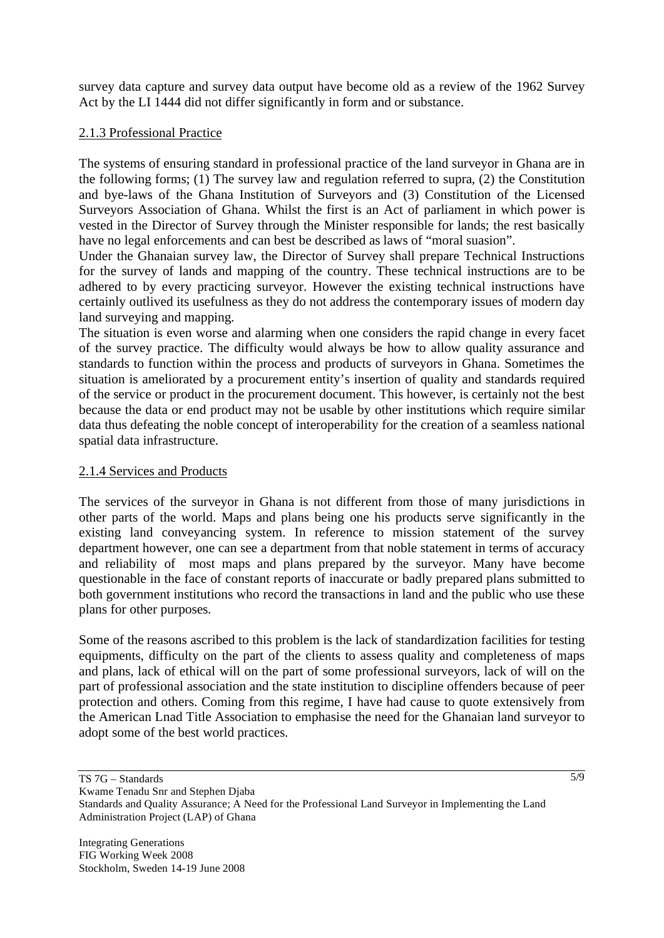survey data capture and survey data output have become old as a review of the 1962 Survey Act by the LI 1444 did not differ significantly in form and or substance.

# 2.1.3 Professional Practice

The systems of ensuring standard in professional practice of the land surveyor in Ghana are in the following forms; (1) The survey law and regulation referred to supra, (2) the Constitution and bye-laws of the Ghana Institution of Surveyors and (3) Constitution of the Licensed Surveyors Association of Ghana. Whilst the first is an Act of parliament in which power is vested in the Director of Survey through the Minister responsible for lands; the rest basically have no legal enforcements and can best be described as laws of "moral suasion".

Under the Ghanaian survey law, the Director of Survey shall prepare Technical Instructions for the survey of lands and mapping of the country. These technical instructions are to be adhered to by every practicing surveyor. However the existing technical instructions have certainly outlived its usefulness as they do not address the contemporary issues of modern day land surveying and mapping.

The situation is even worse and alarming when one considers the rapid change in every facet of the survey practice. The difficulty would always be how to allow quality assurance and standards to function within the process and products of surveyors in Ghana. Sometimes the situation is ameliorated by a procurement entity's insertion of quality and standards required of the service or product in the procurement document. This however, is certainly not the best because the data or end product may not be usable by other institutions which require similar data thus defeating the noble concept of interoperability for the creation of a seamless national spatial data infrastructure.

### 2.1.4 Services and Products

The services of the surveyor in Ghana is not different from those of many jurisdictions in other parts of the world. Maps and plans being one his products serve significantly in the existing land conveyancing system. In reference to mission statement of the survey department however, one can see a department from that noble statement in terms of accuracy and reliability of most maps and plans prepared by the surveyor. Many have become questionable in the face of constant reports of inaccurate or badly prepared plans submitted to both government institutions who record the transactions in land and the public who use these plans for other purposes.

Some of the reasons ascribed to this problem is the lack of standardization facilities for testing equipments, difficulty on the part of the clients to assess quality and completeness of maps and plans, lack of ethical will on the part of some professional surveyors, lack of will on the part of professional association and the state institution to discipline offenders because of peer protection and others. Coming from this regime, I have had cause to quote extensively from the American Lnad Title Association to emphasise the need for the Ghanaian land surveyor to adopt some of the best world practices.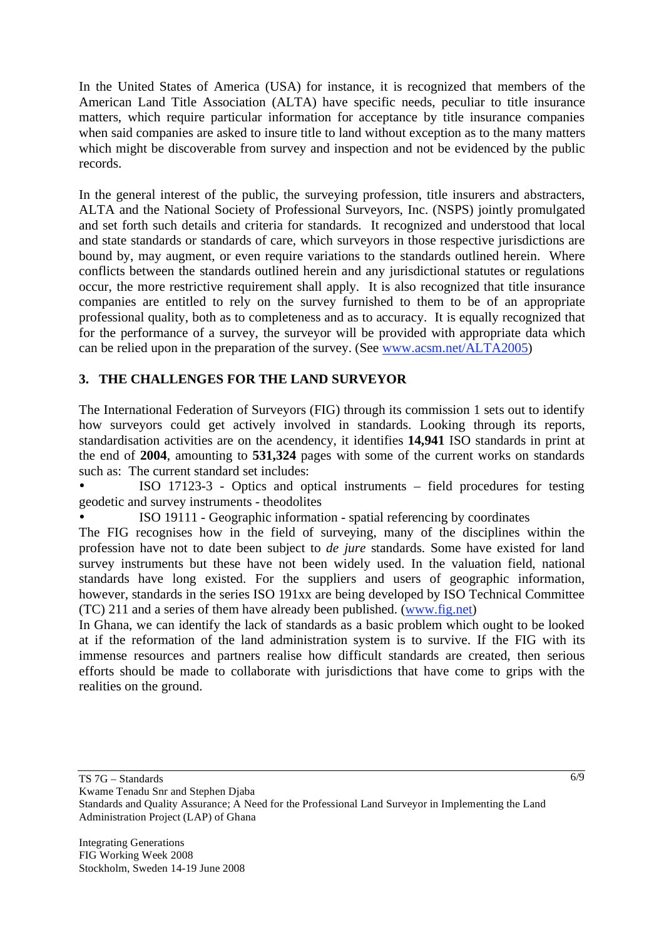In the United States of America (USA) for instance, it is recognized that members of the American Land Title Association (ALTA) have specific needs, peculiar to title insurance matters, which require particular information for acceptance by title insurance companies when said companies are asked to insure title to land without exception as to the many matters which might be discoverable from survey and inspection and not be evidenced by the public records.

In the general interest of the public, the surveying profession, title insurers and abstracters, ALTA and the National Society of Professional Surveyors, Inc. (NSPS) jointly promulgated and set forth such details and criteria for standards. It recognized and understood that local and state standards or standards of care, which surveyors in those respective jurisdictions are bound by, may augment, or even require variations to the standards outlined herein. Where conflicts between the standards outlined herein and any jurisdictional statutes or regulations occur, the more restrictive requirement shall apply. It is also recognized that title insurance companies are entitled to rely on the survey furnished to them to be of an appropriate professional quality, both as to completeness and as to accuracy. It is equally recognized that for the performance of a survey, the surveyor will be provided with appropriate data which can be relied upon in the preparation of the survey. (See www.acsm.net/ALTA2005)

# **3. THE CHALLENGES FOR THE LAND SURVEYOR**

The International Federation of Surveyors (FIG) through its commission 1 sets out to identify how surveyors could get actively involved in standards. Looking through its reports, standardisation activities are on the acendency, it identifies **14,941** ISO standards in print at the end of **2004**, amounting to **531,324** pages with some of the current works on standards such as: The current standard set includes:

• ISO 17123-3 - Optics and optical instruments – field procedures for testing geodetic and survey instruments - theodolites

• ISO 19111 - Geographic information - spatial referencing by coordinates

The FIG recognises how in the field of surveying, many of the disciplines within the profession have not to date been subject to *de jure* standards. Some have existed for land survey instruments but these have not been widely used. In the valuation field, national standards have long existed. For the suppliers and users of geographic information, however, standards in the series ISO 191xx are being developed by ISO Technical Committee (TC) 211 and a series of them have already been published. (www.fig.net)

In Ghana, we can identify the lack of standards as a basic problem which ought to be looked at if the reformation of the land administration system is to survive. If the FIG with its immense resources and partners realise how difficult standards are created, then serious efforts should be made to collaborate with jurisdictions that have come to grips with the realities on the ground.

TS 7G – Standards

Kwame Tenadu Snr and Stephen Djaba Standards and Quality Assurance; A Need for the Professional Land Surveyor in Implementing the Land Administration Project (LAP) of Ghana

6/9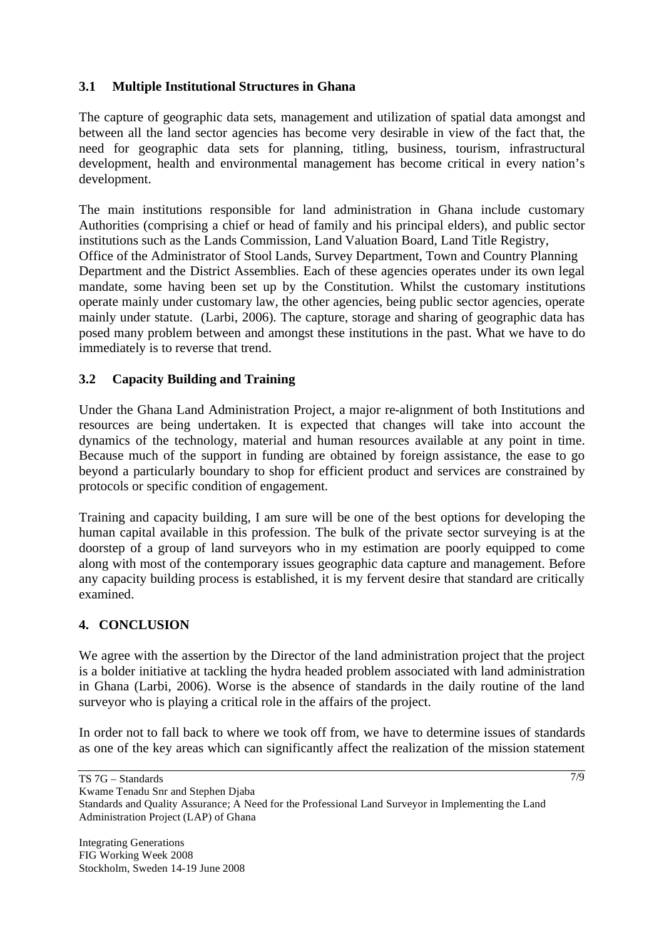# **3.1 Multiple Institutional Structures in Ghana**

The capture of geographic data sets, management and utilization of spatial data amongst and between all the land sector agencies has become very desirable in view of the fact that, the need for geographic data sets for planning, titling, business, tourism, infrastructural development, health and environmental management has become critical in every nation's development.

The main institutions responsible for land administration in Ghana include customary Authorities (comprising a chief or head of family and his principal elders), and public sector institutions such as the Lands Commission, Land Valuation Board, Land Title Registry, Office of the Administrator of Stool Lands, Survey Department, Town and Country Planning Department and the District Assemblies. Each of these agencies operates under its own legal mandate, some having been set up by the Constitution. Whilst the customary institutions operate mainly under customary law, the other agencies, being public sector agencies, operate mainly under statute. (Larbi, 2006). The capture, storage and sharing of geographic data has posed many problem between and amongst these institutions in the past. What we have to do immediately is to reverse that trend.

# **3.2 Capacity Building and Training**

Under the Ghana Land Administration Project, a major re-alignment of both Institutions and resources are being undertaken. It is expected that changes will take into account the dynamics of the technology, material and human resources available at any point in time. Because much of the support in funding are obtained by foreign assistance, the ease to go beyond a particularly boundary to shop for efficient product and services are constrained by protocols or specific condition of engagement.

Training and capacity building, I am sure will be one of the best options for developing the human capital available in this profession. The bulk of the private sector surveying is at the doorstep of a group of land surveyors who in my estimation are poorly equipped to come along with most of the contemporary issues geographic data capture and management. Before any capacity building process is established, it is my fervent desire that standard are critically examined.

### **4. CONCLUSION**

We agree with the assertion by the Director of the land administration project that the project is a bolder initiative at tackling the hydra headed problem associated with land administration in Ghana (Larbi, 2006). Worse is the absence of standards in the daily routine of the land surveyor who is playing a critical role in the affairs of the project.

In order not to fall back to where we took off from, we have to determine issues of standards as one of the key areas which can significantly affect the realization of the mission statement

7/9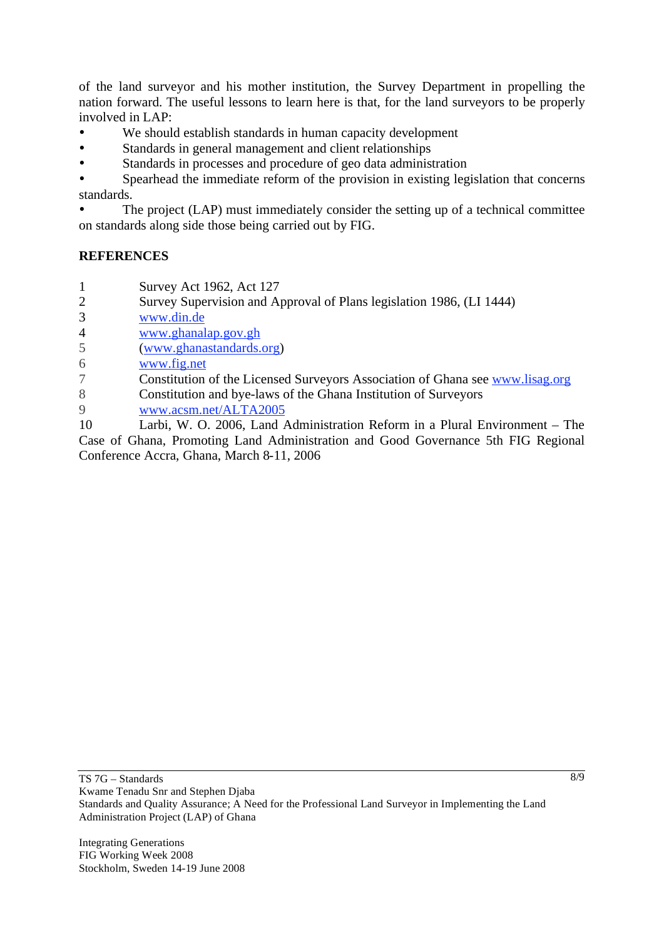of the land surveyor and his mother institution, the Survey Department in propelling the nation forward. The useful lessons to learn here is that, for the land surveyors to be properly involved in LAP:

- We should establish standards in human capacity development
- Standards in general management and client relationships
- Standards in processes and procedure of geo data administration

• Spearhead the immediate reform of the provision in existing legislation that concerns standards.

The project (LAP) must immediately consider the setting up of a technical committee on standards along side those being carried out by FIG.

### **REFERENCES**

1 Survey Act 1962, Act 127

- 2 Survey Supervision and Approval of Plans legislation 1986, (LI 1444)
- 3 www.din.de
- 4 www.ghanalap.gov.gh

5 (www.ghanastandards.org)

6 www.fig.net

7 Constitution of the Licensed Surveyors Association of Ghana see www.lisag.org

- 8 Constitution and bye-laws of the Ghana Institution of Surveyors
- 9 www.acsm.net/ALTA2005

10 Larbi, W. O. 2006, Land Administration Reform in a Plural Environment – The Case of Ghana, Promoting Land Administration and Good Governance 5th FIG Regional Conference Accra, Ghana, March 8-11, 2006